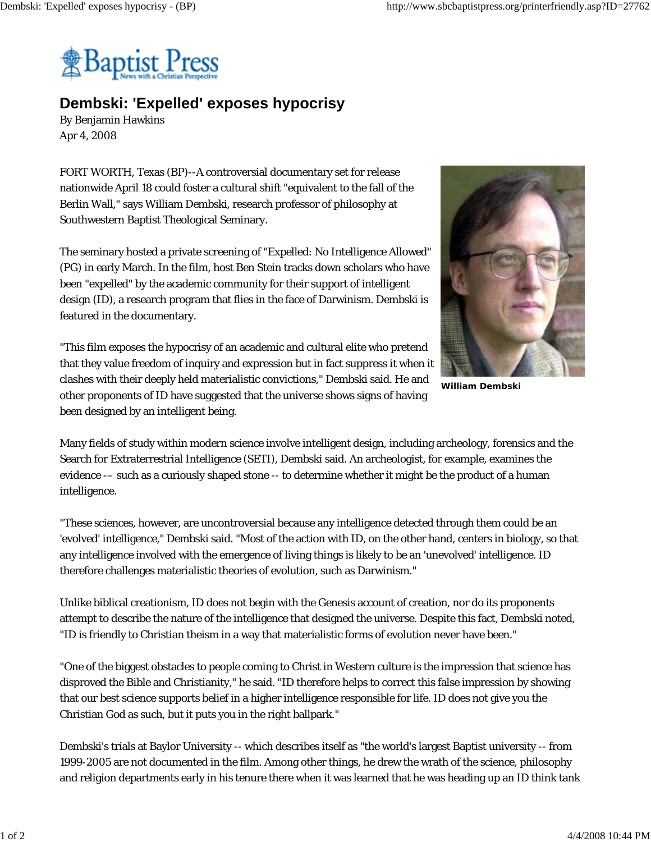

## **Dembski: 'Expelled' exposes hypocrisy**

By Benjamin Hawkins Apr 4, 2008

FORT WORTH, Texas (BP)--A controversial documentary set for release nationwide April 18 could foster a cultural shift "equivalent to the fall of the Berlin Wall," says William Dembski, research professor of philosophy at Southwestern Baptist Theological Seminary.

The seminary hosted a private screening of "Expelled: No Intelligence Allowed" (PG) in early March. In the film, host Ben Stein tracks down scholars who have been "expelled" by the academic community for their support of intelligent design (ID), a research program that flies in the face of Darwinism. Dembski is featured in the documentary.



**William Dembski**

"This film exposes the hypocrisy of an academic and cultural elite who pretend that they value freedom of inquiry and expression but in fact suppress it when it clashes with their deeply held materialistic convictions," Dembski said. He and other proponents of ID have suggested that the universe shows signs of having been designed by an intelligent being.

Many fields of study within modern science involve intelligent design, including archeology, forensics and the Search for Extraterrestrial Intelligence (SETI), Dembski said. An archeologist, for example, examines the evidence -– such as a curiously shaped stone -- to determine whether it might be the product of a human intelligence.

"These sciences, however, are uncontroversial because any intelligence detected through them could be an 'evolved' intelligence," Dembski said. "Most of the action with ID, on the other hand, centers in biology, so that any intelligence involved with the emergence of living things is likely to be an 'unevolved' intelligence. ID therefore challenges materialistic theories of evolution, such as Darwinism."

Unlike biblical creationism, ID does not begin with the Genesis account of creation, nor do its proponents attempt to describe the nature of the intelligence that designed the universe. Despite this fact, Dembski noted, "ID is friendly to Christian theism in a way that materialistic forms of evolution never have been."

"One of the biggest obstacles to people coming to Christ in Western culture is the impression that science has disproved the Bible and Christianity," he said. "ID therefore helps to correct this false impression by showing that our best science supports belief in a higher intelligence responsible for life. ID does not give you the Christian God as such, but it puts you in the right ballpark."

Dembski's trials at Baylor University -- which describes itself as "the world's largest Baptist university -- from 1999-2005 are not documented in the film. Among other things, he drew the wrath of the science, philosophy and religion departments early in his tenure there when it was learned that he was heading up an ID think tank